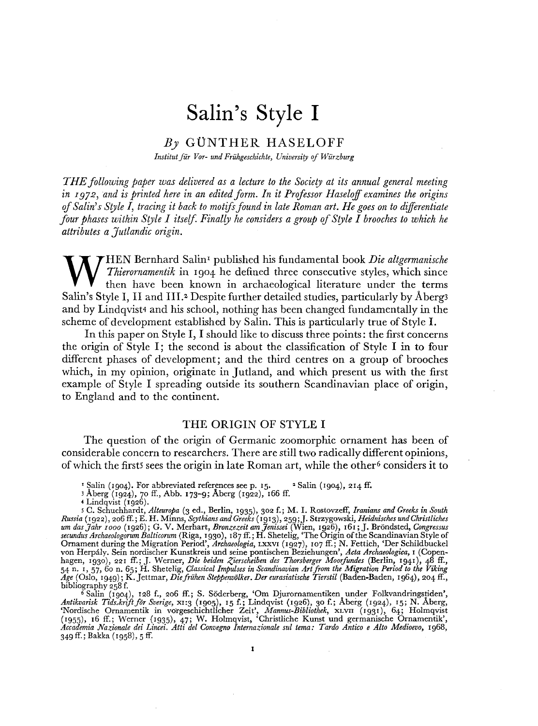# **Salin's Style I**

# *By* GUNTHER HASELOFF

*Institutfiir Vor- und Friihgeschichte, University of Wiirzburg*

*THE following paper was delivered as a lecture to the Society at its annual general meeting in* 1972, and *is printed here in an edited form. In it Professor Haseloff examines the origins ofSalin's Style I, tracing it back to motifsfound in late Roman art. He goes on to differentiate four phases within Style I itself. Finally he considers a group ofStyle I brooches to which he attributes a ]utlandic origin.*

WH EN Bernhard Salin! published his fundamental book *Die altgermanische Thierornamentik* in 1904 he defined three consecutive styles, which since then have been known in archaeological literature under the terms Salin's Style I, II and III.<sup>2</sup> Despite further detailed studies, particularly by Aberg<sup>3</sup> and by Lindqvist4 and his school, nothing has been changed fundamentally in the scheme of development established by Salin. This is particularly true of Style 1.

In this paper on Style I, I should like to discuss three points: the first concerns the origin of Style I; the second is about the classification of Style I in to four different phases of development; and the third centres on a group of brooches which, in my opinion, originate in Jutland, and which present us with the first example of Style I spreading outside its southern Scandinavian place of origin, to England and to the continent.

# THE ORIGIN OF STYLE I

The question of the origin of Germanic zoomorphic ornament has been of considerable concern to researchers. There are still two radically different opinions, of which the firsts sees the origin in late Roman art, while the otherf considers it to

 $\frac{1}{2}$  Salin (1904). For abbreviated references see p. 15.  $\frac{1}{2}$  Salin (1904), 214 ff.

3 Aberg (1924), 70 ff., Abb. 173-9; Aberg (1922), 166 ff.

 $^{\delta}$ Salin (1904), 128 f., 206 ff.; S. Söderberg, 'Om Djurornamentiken under Folkvandringstiden', Antikvarisk *Tids.krift för Sverige*, x1:3 (1905), 15 f.; Lindqvist (1926), 30 f.; Åberg (1924), 15; N. Åberg,<br>'Nordische Ornamentik in vorgeschichtlicher Zeit', *Mannus-Bibliothek*, xLv11 (1931), 64; Holmqvist (1955), 16 ff.; Werner (1935), 47; W. Holmqvist, 'Christliche Kunst und germanische Ornamentik',<br>Accademia Nazionale dei Lincei. Atti del Convegno Internazionale sul tema: Tardo Antico e Alto Medioevo, 1968, 349 ff.; Bakka (1958), 5 ff.

<sup>&</sup>lt;sup>4</sup> Lindqvist (1926).<br>
5 C. Schuchhardt, *Alteuropa* (3 ed., Berlin, 1935), 302 f.; M. I. Rostovzeff, *Iranians and Greeks in South*<br> *Russia* (1922), 206 ff.; E. H. Minns, *Scythians and Greeks* (1913), 259; J. Strzygowsk von Herpály. Sein nordischer Kunstkreis und seine pontischen Beziehungen', Acta Archaeologica, 1 (Copen-<br>hagen, 1930), 221 ff.; J. Werner, *Die beiden Zierscheiben des Thorsberger Moorfundes* (Berlin, 1941), 48 ff.,<br>54 n. *Age* (Oslo, 1949); K.Jettmar, *Diefriihen Steppenoolker, Der eurasiatische Tierstil* (Baden-Baden, 1964),2°4 ff., bibliography 258 f.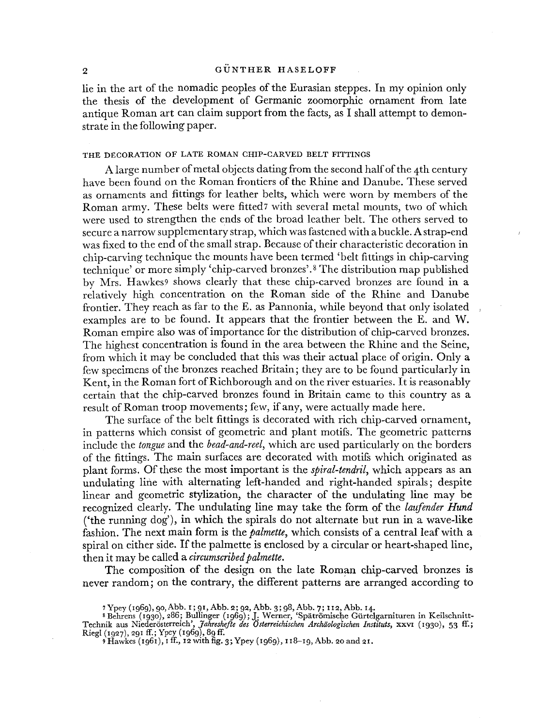lie in the art of the nomadic peoples of the Eurasian steppes. In my opinion only the thesis of the development of Germanic zoomorphic ornament from late antique Roman art can claim support from the facts, as I shall attempt to demonstrate in the following paper.

## THE DECORATION OF LATE ROMAN CHIP-CARVED BELT FITTINGS

A large number of metal objects dating from the second half of the 4th century have been found on the Roman frontiers of the Rhine and Danube. These served as ornaments and fittings for leather belts, which were worn by members of the Roman army. These belts were fitted7 with several metal mounts, two of which were used to strengthen the ends of the broad leather belt. The others served to secure a narrow supplementary strap, which was fastened with a buckle. A strap-end was fixed to the end of the small strap. Because of their characteristic decoration in chip-carving technique the mounts have been termed 'belt fittings in chip-carving technique' or more simply 'chip-carved bronzes'. <sup>8</sup> The distribution map published by Mrs. Hawkes<sup>9</sup> shows clearly that these chip-carved bronzes are found in a relatively high concentration on the Roman side of the Rhine and Danube frontier. They reach as far to the E. as Pannonia, while beyond that only isolated examples are to be found. It appears that the frontier between the E. and W. Roman empire also was of importance for the distribution of chip-carved bronzes. The highest concentration is found in the area between the Rhine and the Seine, from which it may be concluded that this was their actual place of origin. Only a few specimens of the bronzes reached Britain; they are to be found particularly in Kent, in the Roman fort of Richborough and on the river estuaries. It is reasonably certain that the chip-carved bronzes found in Britain came to this country as a result of Roman troop movements; few, if any, were actually made here.

The surface of the belt fittings is decorated with rich chip-carved ornament, in patterns which consist of geometric and plant motifs. The geometric patterns include the *tongue* and the *bead-and-reel,* which are used particularly on the borders of the fittings. The main surfaces are decorated with motifs which originated as plant forms. Of these the most important is the *spiral-tendril,* which appears as an undulating line with alternating left-handed and right-handed spirals; despite linear and geometric stylization, the character of the undulating line may be recognized clearly. The undulating line may take the form of the *laufender Hund* ('the running dog'), in which the spirals do not alternate but run in a wave-like fashion. The next main form is the *palmette,* which consists of a central leaf with a spiral on either side. If the palmette is enclosed by a circular or heart-shaped line, then it may be called a *circumscribed palmette*.

The composition of the design on the late Roman chip-carved bronzes is never random; on the contrary, the different patterns are arranged according to

<sup>7</sup> Ypey (1969), 90, Abb. 1; 91, Abb. 2; 92, Abb. 3; 98, Abb. 7; 112, Abb. 14.<br><sup>8</sup> Behrens (1930), 286; Bullinger (1969); J. Werner, 'Spätrömische Gürtelgarnituren in Keilschnitt<sup>8</sup><br>Technik aus Niederösterreich', *Jahresheft* Riegl (1927), 291 ff.; Ypey (1969), 89 If. <sup>9</sup> Hawkes (1961), <sup>I</sup> ff., 12 with fig. 3; Ypey (1969), 118-19, Abb. 20 and 21.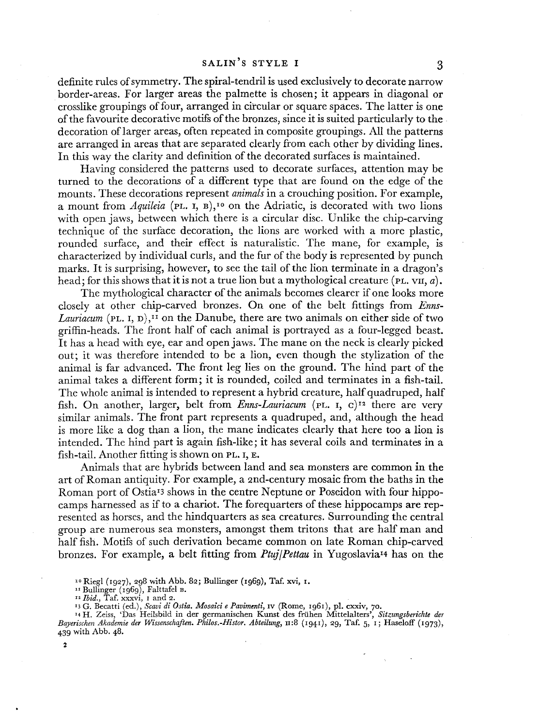# SALIN'S STYLE I 3

definite rules of symmetry. The spiral-tendril is used exclusively to decorate narrow border-areas. For larger areas the palmette is chosen; it appears in diagonal or crosslike groupings offour, arranged in circular or square spaces. The latter is one ofthe favourite decorative motifs ofthe bronzes, since it is suited particularly to the decoration oflarger areas, often repeated in composite groupings. All the patterns are arranged in areas that are separated clearly from each other by dividing lines. In this way the clarity and definition of the decorated surfaces is maintained.

Having considered the patterns used to decorate surfaces, attention may be turned to the decorations of a different type that are found on the edge of the mounts. These decorations represent *animals* in a crouching position. For example, a mount from *Aquileia* (PL. I, B),<sup>10</sup> on the Adriatic, is decorated with two lions with open jaws, between which there is a circular disc. Unlike the chip-carving technique of the surface decoration, the lions are worked with a more plastic, rounded surface, and their effect is naturalistic. The mane, for example, is characterized by individual curls, and the fur of the body is represented by punch marks. It is surprising, however, to see the tail of the lion terminate in a dragon's head; for this shows that it is not a true lion but a mythological creature (PL. VII, *a).*

The mythological character of the animals becomes clearer if one looks more closely at other chip-carved bronzes. On one of the belt fittings from *Enns-Lauriacum* (PL. I, D),<sup>11</sup> on the Danube, there are two animals on either side of two griffin-heads. The front half of each animal is portrayed as a four-legged beast. It has a head with eye, ear and open jaws. The mane on the neck is clearly picked out; it was therefore intended to be a lion, even though the stylization of the animal is far advanced. The front leg lies on the ground. The hind part of the animal takes a different form; it is rounded, coiled and terminates in a fish-tail. The whole animal is intended to represent a hybrid creature, halfquadruped, half fish. On another, larger, belt from *Enns-Lauriacum* (PL. I, c)<sup>12</sup> there are very similar animals. The front part represents a quadruped, and, although the head is more like a dog than a lion, the mane indicates clearly that here too a lion is intended. The hind part is again fish-like; it has several coils and terminates in a fish-tail. Another fitting is shown on PL. I, E.

Animals that are hybrids between land and sea monsters are common in the art of Roman antiquity. For example, a znd-century mosaic from the baths in the Roman port of Ostia<sup>13</sup> shows in the centre Neptune or Poseidon with four hippocamps harnessed as ifto a chariot. The forequarters of these hippocamps are represented as horses, and the hindquarters as sea creatures. Surrounding the central group are numerous sea monsters, amongst them tritons that are half man and half fish. Motifs of such derivation became common on late Roman chip-carved bronzes. For example, a belt fitting from *Ptuj/Pettau* in Yugoslavia<sup>14</sup> has on the

2

 $10$  Riegl (1927), 298 with Abb. 82; Bullinger (1969), Taf. xvi, I.

r r Bullinger (1969), Falttafel B.

<sup>&</sup>lt;sup>12</sup> Ibid., Taf. xxxvi, 1 and 2.<br><sup>13</sup> G. Becatti (ed.), *Scavi di Ostia. Mosaici e Pavimenti*, IV (Rome, 1961), pl. cxxiv, 70.<br><sup>14</sup> H. Zeiss, 'Das Heilsbild in der germanischen Kunst des frühen Mittelalters', *Sitzungsberi* 439 with Abb. 48.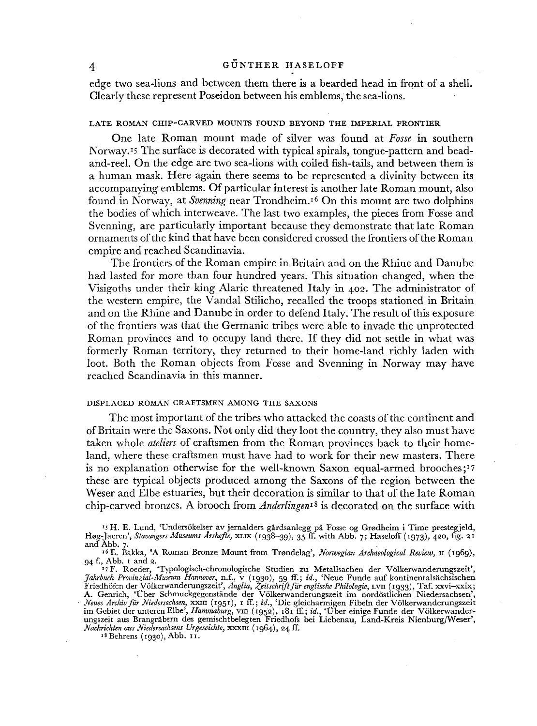edge two sea-lions and between them there is a bearded head in front of a shell. Clearly these represent Poseidon between his emblems, the sea-lions.

#### LATE ROMAN CHIP-CARVED MOUNTS FOUND BEYOND THE IMPERIAL FRONTIER

One late Roman mount made of silver was found at *Fosse* in southern Norway.is The surface is decorated with typical spirals, tongue-pattern and beadand-reel. On the edge are two sea-lions with coiled fish-tails, and between them is a human mask. Here again there seems to be represented a divinity between its accompanying emblems. Of particular interest is another late Roman mount, also found in Norway, at *Svenning* near Trondheim.<sup>16</sup> On this mount are two dolphins the bodies ofwhich interweave. The last two examples, the pieces from Fosse and Svenning, are particularly important because they demonstrate that late Roman ornaments ofthe kind that have been considered crossed the frontiers ofthe Roman empire and reached Scandinavia.

The frontiers of the Roman empire in Britain and on the Rhine and Danube had lasted for more than four hundred years. This situation changed, when the Visigoths under their king Alaric threatened Italy in 402. The administrator of the western empire, the Vandal Stilicho, recalled the troops stationed in Britain and on the Rhine and Danube in order to defend Italy. The result of this exposure of the frontiers was that the Germanic tribes were able to invade the unprotected Roman provinces and to occupy land there. If they did not settle in what was formerly Roman territory, they returned to their home-land richly laden with loot. Both the Roman objects from Fosse and Svenning in Norway may have reached Scandinavia in this manner.

### DISPLACED ROMAN CRAFTSMEN AMONG THE SAXONS

The most important of the tribes who attacked the coasts of the continent and ofBritain were the Saxons. Not only did they loot the country, they also must have taken whole *ateliers* of craftsmen from the Roman provinces back to their homeland, where these craftsmen must have had to work for their new masters. There is no explanation otherwise for the well-known Saxon equal-armed brooches; 17 these are typical objects produced among the Saxons of the region between the Weser and Elbe estuaries, but their decoration is similar to that of the late Roman chip-carved bronzes. A brooch from *Anderlingenl 8* is decorated on the surface with

<sup>18</sup> Behrens (1930), Abb. II.

<sup>&#</sup>x27;5 H. E. Lund, 'Undersokelser av jernalders gardsanlegg pa Fosse og Gradheim i Time prestegjeld, Heg-jaeren', *Stavangers Museums Arshefte,* XLIX (1938-39), 35 ff. with Abb. 7; Haseloff (1973), 420, fig. 21 and Abb. 7.

<sup>16</sup> E. Bakka, 'A Roman Bronze Mount from Trendelag', *Norwegian Archaeological Review,* II (1969),

<sup>94</sup> f., Abb. 1 and 2.<br>17 F. Roeder, 'Typologisch-chronologische Studien zu Metallsachen der Völkerwanderungszeit',<br>*Jahrbuch Provinzial-Museum Hannover*, n.f., v (1930), 59 ff.; *id.*, 'Neue Funde auf kontinentalsächsischen *Neues Archiv für Niedersachsen*, xx111 (1951), 1 ff.; id., 'Die gleicharmigen Fibeln der Völkerwanderungszeit<br>im Gebiet der unteren Elbe', *Hammaburg*, v111 (1952), 181 ff.; id., 'Über einige Funde der Völkerwander-<br>ungsz *Nachrichten aus Niedersachsens Urgescichte,* XXXIII (1964), 24 ff.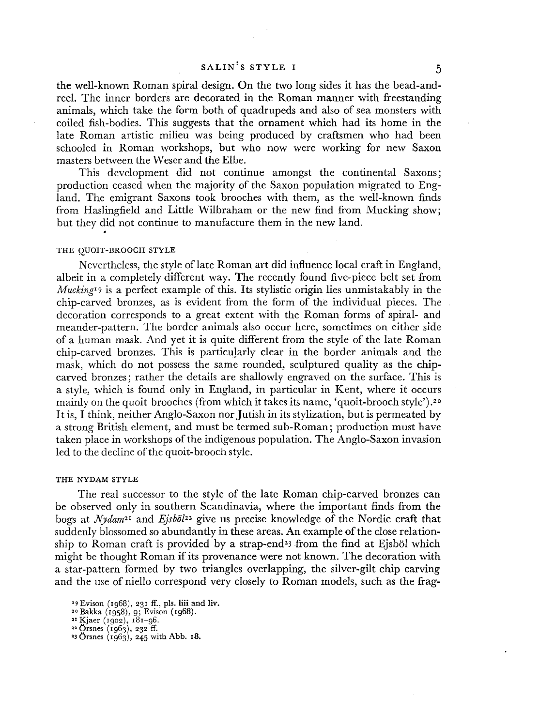# SALIN'S STYLE I 5

the well-known Roman spiral design. On the two long sides it has the bead-andreel. The inner borders are decorated in the Roman manner with freestanding animals, which take the form both of quadrupeds and also of sea monsters with coiled fish-bodies. This suggests that the ornament which had its home in the late Roman artistic milieu was being produced by craftsmen who had been schooled in Roman workshops, but who now were working for new Saxon masters between the Weser and the Elbe.

This development did not continue amongst the continental Saxons; production ceased when the majority of the Saxon population migrated to England. The emigrant Saxons took brooches with them, as the well-known finds from Haslingfield and Little Wilbraham or the new find from Mucking show; but they did not continue to manufacture them in the new land.

## THE QUOIT-BROOCH STYLE

Nevertheless, the style oflate Roman art did influence local craft in England, albeit in a completely different way. The recently found five-piece belt set from *Mucking-»* is a perfect example of this. Its stylistic origin lies unmistakably in the chip-carved bronzes, as is evident from the form of the individual pieces. The decoration corresponds to a great extent with the Roman forms of spiral- and meander-pattern. The border animals also occur here, sometimes on either side of a human mask. And yet it is quite different from the style of the late Roman chip-carved bronzes. This is particularly clear in the border animals and the mask, which do not possess the same rounded, sculptured quality as the chipcarved bronzes; rather the details are shallowly engraved on the surface. This is a style, which is found only in England, in particular in Kent, where it occurs mainly on the quoit brooches (from which it takes its name, 'quoit-brooch style').<sup>20</sup> It is, I think, neither Anglo-Saxon norJutish in its stylization, but is permeated by a strong British element, and must be termed sub-Roman; production must have taken place in workshops of the indigenous population. The Anglo-Saxon invasion led to the decline of the quoit-brooch style.

#### THE NYDAM STYLE

The real successor to the style of the late Roman chip-carved bronzes can be observed only in southern Scandinavia, where the important finds from the bogs at *Nydam»* and *Ejsbol22* give us precise knowledge of the Nordic craft that suddenly blossomed so abundantly in these areas. An example of the close relationship to Roman craft is provided by a strap-end<sup>23</sup> from the find at Ejsböl which might be thought Roman ifits provenance were not known. The decoration with a star-pattern formed by two triangles overlapping, the silver-gilt chip carving and the use of niello correspond very closely to Roman models, such as the frag-

<sup>&#</sup>x27;9 Evison (1968), 231 ff., pIs. Iiii and Iiv,

<sup>&</sup>lt;sup>20</sup> Bakka (1958), 9; Evison (1968).

ar Kjaer (1902), 181-96. "Orsnes (1963), 232 If.

<sup>&#</sup>x27;30rsnes (1963), 245 with Abb. 18.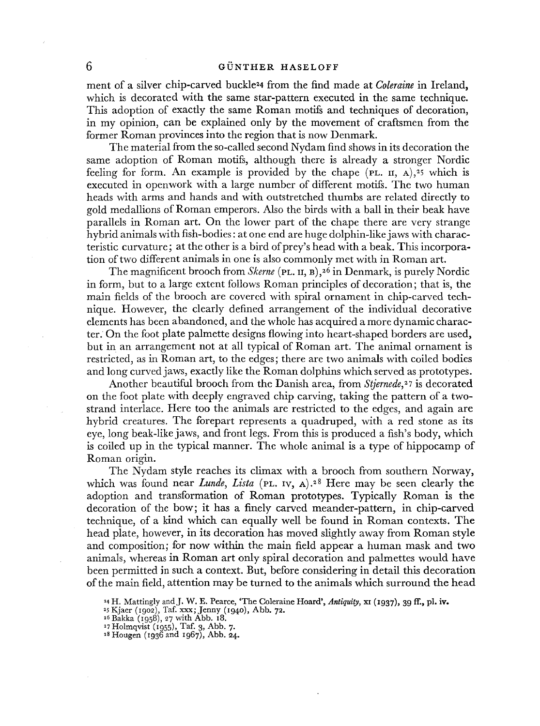ment of a silver chip-carved buckle<sup>24</sup> from the find made at *Coleraine* in Ireland, which is decorated with the same star-pattern executed in the same technique. This adoption of exactly the same Roman motifs and techniques of decoration, in my opinion, can be explained only by the movement of craftsmen from the former Roman provinces into the region that is now Denmark.

The material from the so-called second Nydam find shows in its decoration the same adoption of Roman motifs, although there is already a stronger Nordic feeling for form. An example is provided by the chape  $(PL, II, A)$ ,<sup>25</sup> which is executed in openwork with a large number of different motifs. The two human heads with arms and hands and with outstretched thumbs are related directly to gold medallions of Roman emperors. Also the birds with a ball in their beak have parallels in Roman art. On the lower part of the chape there are very strange hybrid animals with fish-bodies: at one end are huge dolphin-like jaws with characteristic curvature; at the other is a bird of prey's head with a beak. This incorporation of two different animals in one is also commonly met with in Roman art.

The magnificent brooch from *Skerne* (PL. II, B),<sup>26</sup> in Denmark, is purely Nordic in form, but to a large extent follows Roman principles of decoration; that is, the main fields of the brooch are covered with spiral ornament in chip-carved technique. However, the dearly defined arrangement of the individual decorative elements has been abandoned, and the whole has acquired a more dynamic character. On the foot plate palmette designs flowing into heart-shaped borders are used, but in an arrangement not at all typical of Roman art. The animal ornament is restricted, as in Roman art, to the edges; there are two animals with coiled bodies and long curved jaws, exactly like the Roman dolphins which served as prototypes.

Another beautiful brooch from the Danish area, from *Stjernede*,<sup>27</sup> is decorated on the foot plate with deeply engraved chip carving, taking the pattern of a twostrand interlace. Here too the animals are restricted to the edges, and again are hybrid creatures. The forepart represents a quadruped, with a red stone as its eye, long beak-like jaws, and front legs. From this is produced a fish's body, which is coiled up in the typical manner. The whole animal is a type of hippocamp of Roman origin.

The Nydam style reaches its climax with a brooch from southern Norway, which was found near *Lunde*, *Lista* (PL. IV, A).<sup>28</sup> Here may be seen clearly the adoption and transformation of Roman prototypes. Typically Roman is the decoration of the bow; it has a finely carved meander-pattern, in chip-carved technique, of a kind which can equally well be found in Roman contexts. The head plate, however, in its decoration has moved slightly away from Roman style and composition; for now within the main field appear a human mask and two animals, whereas in Roman art only spiral decoration and palmettes would have been permitted in such a context. But, before considering in detail this decoration ofthe main field, attention may be turned to the animals which surround the head

<sup>&</sup>lt;sup>24</sup> H. Mattingly and J. W. E. Pearce, 'The Coleraine Hoard', *Antiquity*, x1 (1937), 39 ff., pl. iv.

<sup>&</sup>lt;sup>25</sup> Kjaer (1902), Taf. xxx; Jenny (1940), Abb. 72.<br><sup>26</sup> Bakka (1958), 27 with Abb. 18.

<sup>&#</sup>x27;7 Holmqvist (1955), Taf. 3, Abb. 7. ,8 Hougen (1936 and 1967), Abb. 24.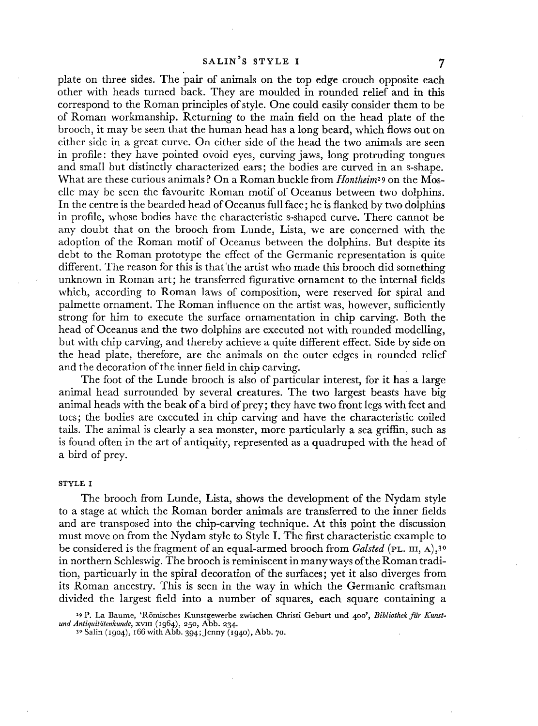# SALIN'S STYLE I 7

plate on three sides. The pair of animals on the top edge crouch opposite each other with heads turned back. They are moulded in rounded relief and in this correspond to the Roman principles of style. One could easily consider them to be of Roman workmanship. Returning to the main field on the head plate of the brooch, it may be seen that the human head has a long beard, which flows out on either side in a great curve. On either side of the head the two animals are seen in profile: they have pointed ovoid eyes, curving jaws, long protruding tongues and small but distinctly characterized ears; the bodies are curved in an s-shape. What are these curious animals? On a Roman buckle from *Hontheim*<sup>29</sup> on the Moselle may be seen the favourite Roman motif of Oceanus between two dolphins. In the centre is the bearded head of Oceanus full face; he is flanked by two dolphins in profile, whose bodies have the characteristic s-shaped curve. There cannot be any doubt that on the brooch from Lunde, Lista, we are concerned with the adoption of the Roman motif of Oceanus between the dolphins. But despite its debt to the Roman prototype the effect of the Germanic representation is quite different. The reason for this is that'the artist who made this brooch did something unknown in Roman art; he transferred figurative ornament to the internal fields which, according to Roman laws of composition, were reserved for spiral and palmette ornament. The Roman influence on the artist was, however, sufficiently strong for him to execute the surface ornamentation in chip carving. Both the head of Oceanus and the two dolphins are executed not with rounded modelling, but with chip carving, and thereby achieve a quite different effect. Side by side on the head plate, therefore, are the animals on the outer edges in rounded relief and the decoration of the inner field in chip carving.

The foot of the Lunde brooch is also of particular interest, for it has a large animal head surrounded by several creatures. The two largest beasts have big animal heads with the beak of a bird of prey; they have two front legs with feet and toes; the bodies are executed in chip carving and have the characteristic coiled tails. The animal is clearly a sea monster, more particularly a sea griffin, such as is found often in the art of antiquity, represented as a quadruped with the head of a bird of prey.

#### STYLE I

The brooch from Lunde, Lista, shows the development of the Nydam style to a stage at which the Roman border animals are transferred to the inner fields and are transposed into the chip-carving technique. At this point the discussion must move on from the Nydam style to Style I. The first characteristic example to be considered is the fragment of an equal-armed brooch from *Galsted* (PL. III, A),<sup>30</sup> in northern Schleswig. The brooch is reminiscent in many ways of the Roman tradition, particuarly in the spiral decoration of the surfaces; yet it also diverges from its Roman ancestry. This is seen in the way in which the Germanic craftsman divided the largest field into a number of squares, each square containing a

<sup>&#</sup>x27;9 P. La Baume, 'R6misches Kunstgewerbe zwischen Christi Geburt und 400', *Bibliothek fur Kunstund Antiquitdtenkunde,* XVIII (1964), 250, Abb. 234. 3° Salin (1904), 166 with Abb. 394;]enny (1940), Abb. 70.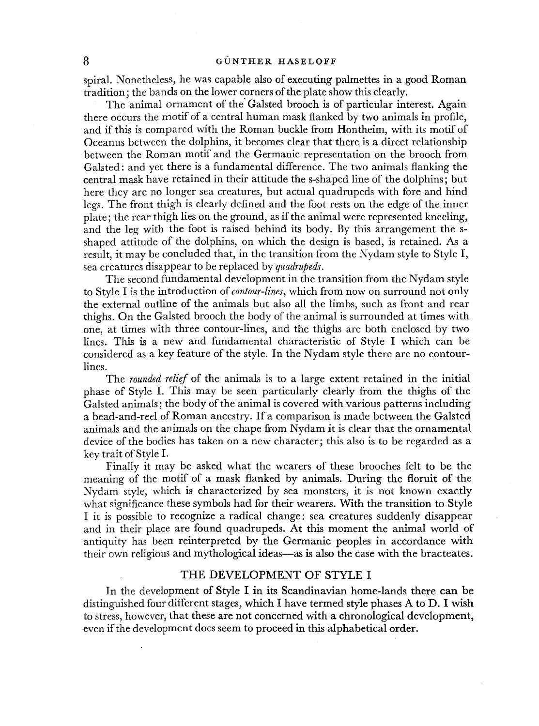spiral. Nonetheless, he was capable also of executing palmettes in a good Roman tradition; the bands on the lower corners of the plate show this clearly.

The animal ornament of the Galsted brooch is of particular interest. Again there occurs the motif of a central human mask flanked by two animals in profile, and if this is compared with the Roman buckle from Hontheim, with its motif of Oceanus between the dolphins, it becomes clear that there is a direct relationship between the Roman motif and the Germanic representation on the brooch from Galsted: and yet there is a fundamental difference. The two animals flanking the central mask have retained in their attitude the s-shaped line of the dolphins; but here they are no longer sea creatures, but actual quadrupeds with fore and hind legs. The front thigh is clearly defined and the foot rests on the edge of the inner plate; the rear thigh lies on the ground, as ifthe animal were represented kneeling, and the leg with the foot is raised behind its body. By this arrangement the sshaped attitude of the dolphins, on which the design is based, is retained. As a result, it may be concluded that, in the transition from the Nydam style to Style **I,** sea creatures disappear to be replaced by *quadrupeds.*

The second fundamental development in the transition from the Nydam style to Style I is the introduction of *contour-lines,* which from now on surround not only the external outline of the animals but also all the limbs, such as front and rear thighs. On the Galsted brooch the body of the animal is surrounded at times with one, at times with three contour-lines, and the thighs are both enclosed by two lines. This is a new and fundamental characteristic of Style I which can be considered as a key feature of the style. In the Nydam style there are no contourlines.

The *rounded relief* of the animals is to a large extent retained in the initial phase of Style I. This may be seen particularly clearly from the thighs of the Galsted animals; the body of the animal is covered with various patterns including <sup>a</sup> bead-and-reel of Roman ancestry. If <sup>a</sup> comparison is made between the Galsted animals and the animals on the chape from Nydam it is clear that the ornamental device of the bodies has taken on a new character; this also is to be regarded as a key trait ofStyle I.

Finally it may be asked what the wearers of these brooches felt to be the meaning of the motif of a mask flanked by animals. During the floruit of the Nydam style, which is characterized by sea monsters, it is not known exactly what significance these symbols had for their wearers. With the transition to Style I it is possible to recognize a radical change: sea creatures suddenly disappear and in their place are found quadrupeds. At this moment the animal world of antiquity has been reinterpreted by the Germanic peoples in accordance with their own religious and mythological ideas-as is also the case with the bracteates.

## THE DEVELOPMENT OF STYLE I

In the development of Style I in its Scandinavian home-lands there can be distinguished four different stages, which I have termed style phases A to D. I wish to stress, however, that these are not concerned with a chronological development, even if the development does seem to proceed in this alphabetical order.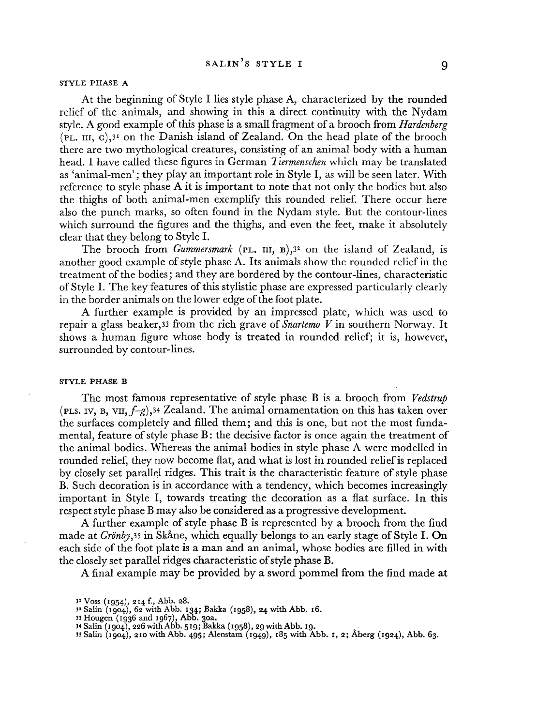#### STYLE PHASE A

At the beginning of Style I lies style phase A, characterized by the rounded relief of the animals, and showing in this a direct continuity with the Nydam style. A good example ofthis phase is a small fragment of a brooch from *Hardenberg*  $(PL, III, G),$ <sup>31</sup> on the Danish island of Zealand. On the head plate of the brooch there are two mythological creatures, consisting of an animal body with a human head. I have called these figures in German *Tiermenschen* which may be translated as 'animal-men' ; they play an important role in Style I, as will be seen later. With reference to style phase A it is important to note that not only the bodies but also the thighs of both animal-men exemplify this rounded relief. There occur here also the punch marks, so often found in the Nydam style. But the contour-lines which surround the figures and the thighs, and even the feet, make it absolutely clear that they belong to Style I.

The brooch from *Gummersmark* (PL. III, B),32 on the island of Zealand, is another good example of style phase A. Its animals show the rounded reliefin the treatment ofthe bodies; and they are bordered by the contour-lines, characteristic of Style I. The key features ofthis stylistic phase are expressed particularly clearly in the border animals on the lower edge of the foot plate.

A further example is provided by an impressed plate, which was used to repair a glass beaker, 33 from the rich grave of *Snartemo*  $\tilde{V}$  in southern Norway. It shows a human figure whose body is treated in rounded relief; it is, however, surrounded by contour-lines.

#### STYLE PHASE B

The most famous representative of style phase B is a brooch from *Vedstrup* (PLS. IV, B, VII,  $f-g$ ),34 Zealand. The animal ornamentation on this has taken over the surfaces completely and filled them; and this is one, but not the most fundamental, feature of style phase B: the decisive factor is once again the treatment of the animal bodies. Whereas the animal bodies in style phase A were modelled in rounded relief, they now become flat, and what is lost in rounded reliefis replaced by closely set parallel ridges. This trait is the characteristic feature of style phase B. Such decoration is in accordance with a tendency, which becomes increasingly important in Style I, towards treating the decoration as a flat surface. In this respect style phase B may also be considered as a progressive development.

A further example of style phase B is represented by a brooch from the find made at *Gronby,35* in Skane, which equally belongs to an early stage of Style I. On each side of the foot plate is a man and an animal, whose bodies are filled in with the closely set parallel ridges characteristic of style phase B.

A final example may be provided by a sword pommel from the find made at

- 
- <sup>33</sup> Hougen (1936 and 1967), Abb. 30a.<br>34 Salin (1904), 226 with Abb. 519; Bakka (1958), 29 with Abb. 19.
- 15 Salin (1904), 210 with Abb. 495; Alenstam (1949), 185 with Abb. 1, 2; Åberg (1924), Abb. 63.

<sup>3&#</sup>x27; Voss (1954), 214 f., Abb. 28.

<sup>3&#</sup>x27; Salin (1904), 62 with Abb. 134; Bakka (1958), 24 with Abb. 16.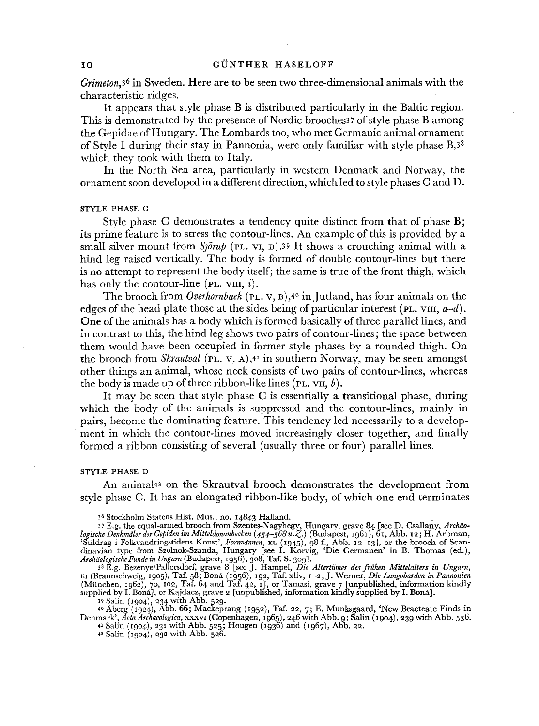*Grimeton,3* <sup>6</sup> in Sweden. Here are to be seen two three-dimensional animals with the characteristic ridges.

It appears that style phase B is distributed particularly in the Baltic region. This is demonstrated by the presence of Nordic brooches<sup>37</sup> of style phase B among the Gepidae ofHungary. The Lombards too, who met Germanic animal ornament of Style I during their stay in Pannonia, were only familiar with style phase B,38 which they took with them to Italy.

In the North Sea area, particularly in western Denmark and Norway, the ornament soon developed in a different direction, which led to style phases C and D.

#### STYLE PHASE C

Style phase C demonstrates a tendency quite distinct from that of phase B; its prime feature is to stress the contour-lines. An example of this is provided by a small silver mount from *Sjörup* (PL. VI, D).<sup>39</sup> It shows a crouching animal with a hind leg raised vertically. The body is formed of double contour-lines but there is no attempt to represent the body itself; the same is true ofthe front thigh, which has only the contour-line (PL. VIII,  $i$ ).

The brooch from *Overhornbaek* (PL. v, B),<sup>40</sup> in Jutland, has four animals on the edges of the head plate those at the sides being of particular interest (PL. VIII,  $a-d$ ). One of the animals has a body which is formed basically of three parallel lines, and in contrast to this, the hind leg shows two pairs of contour-lines; the space between them would have been occupied in former style phases by a rounded thigh. On the brooch from *Skrautval* (PL. V, A),41 in southern Norway, may be seen amongst other things an animal, whose neck consists of two pairs of contour-lines, whereas the body is made up of three ribbon-like lines (PL.  $\mathbf{v}_1$ , b).

It may be seen that style phase C is essentially a transitional phase, during which the body of the animals is suppressed and the contour-lines, mainly in pairs, become the dominating feature. This tendency led necessarily to a development in which the contour-lines moved increasingly closer together, and finally formed a ribbon consisting of several (usually three or four) parallel lines.

#### STYLE PHASE D

An animal<sup>42</sup> on the Skrautval brooch demonstrates the development from  $\cdot$ style phase C. It has an elongated ribbon-like body, of which one end terminates

39 Salin (1904), 234 with Abb. 529.<br>4° Åberg (1924), Abb. 66; Mackeprang (1952), Taf. 22, 7; E. Munksgaard, 'New Bracteate Finds in Denmark', *Acta Archaeologica,* XXXVI (Copenhagen, 1965),246 with Abb. 9; Salin (1904),239 with Abb. 536. 4' Salin (1904), 231 with Abb. 525; Hougen (1936) and (1967), Abb. 22. 42 Salin (1904), 232 with Abb. 526.

<sup>&</sup>lt;sup>36</sup> Stockholm Statens Hist. Mus., no. 14843 Halland.<br><sup>37</sup> E.g. the equal-armed brooch from Szentes-Nagyhegy, Hungary, grave 84 [see D. Csallany, *Archüologische Denkmäler der Gehidma* Mitteldonaubecken (454–568 u.K.) (Bu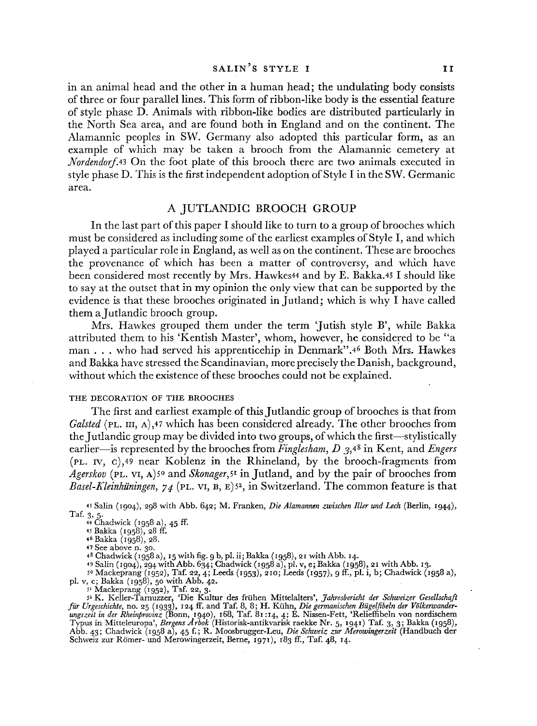in an animal head and the other in a human head; the undulating body consists of three or four parallel lines. This form of ribbon-like body is the essential feature of style phase D. Animals with ribbon-like bodies are distributed particularly in the North Sea area, and are found both in England and on the continent. The Alamannic peoples in SW. Germany also adopted this particular form, as an example of which may be taken a brooch from the Alamannic cemetery at *Nordendorf.ss* On the foot plate of this brooch there are two animals executed in style phase D. This is the first independent adoption ofStyle I in the SW. Germanic area.

## A JUTLANDIC BROOCH GROUP

In the last part of this paper I should like to turn to a group of brooches which must be considered as including some ofthe earliest examples of Style I, and which played a particular role in England, as well as on the continent. These are brooches the provenance of which has been a matter of controversy, and which have been considered most recently by Mrs. Hawkes<sup>44</sup> and by E. Bakka.<sup>45</sup> I should like to say at the outset that in my opinion the only view that can be supported by the evidence is that these brooches originated in Jutland; which is why I have called them a Jutlandic brooch group.

Mrs. Hawkes grouped them under the term 'Jutish style B', while Bakka attributed them to his 'Kentish Master', whom, however, he considered to be "a man ... who had served his apprenticehip in Denmark".<sup>46</sup> Both Mrs. Hawkes and Bakka have stressed the Scandinavian, more precisely the Danish, background, without which the existence of these brooches could not be explained.

#### THE DECORATION OF THE BROOCHES

The first and earliest example of this Jutlandic group of brooches is that from *Galsted* (PL. III, A),<sup>47</sup> which has been considered already. The other brooches from the Jutlandic group may be divided into two groups, of which the first—stylistically earlier—is represented by the brooches from *Finglesham*, *D* 3,<sup>48</sup> in Kent, and *Engers* (PL. IV, C),49 near Koblenz in the Rhineland, by the brooch-fragments from *Agerskov* (PL. VI, A)<sup>50</sup> and *Skonager*, <sup>51</sup> in Jutland, and by the pair of brooches from *Basel-Kleinhüningen,* 74 (PL. VI, B, E)<sup>52</sup>, in Switzerland. The common feature is that

<sup>4</sup><sup>6</sup> Bakka (1958), 28.

<sup>47</sup> See above n. 30.

<sup>48</sup> Chadwick (1958 a), 15 with fig. 9 b, pl. ii; Bakka (1958), 21 with Abb. 14.<br><sup>49</sup> Salin (1904), 294 with Abb. 634; Chadwick (1958 a), pl. v, e; Bakka (1958), 21 with Abb. 13.<br><sup>50</sup> Mackeprang (1952), Taf. 22, 4; Leeds

<sup>51</sup> Mackeprang (1952), Taf. 22, 3.<br>
<sup>52</sup> K. Keller-Tarnuzzer, 'Die Kultur des frühen Mittelalters', *Jahresbericht der Schweizer Gesellschaftür Urgeschichte*, no. 25 (1933), 124 ff. and Taf. 8, 8; H. Kühn, *Die germanisc* Schweiz zur Römer- und Merowingerzeit, Berne, 1971), 183 ff., Taf. 48, 14.

<sup>43</sup> Salin (1904), 298 with Abb. 642; M. Franken, *Die Alamannen zwischen Iller und Lech* (Berlin, 1944), Taf. 3, 5· <sup>44</sup> Chadwick (1958 a), 45 ff. 45 Bakka (1958), 28 ff.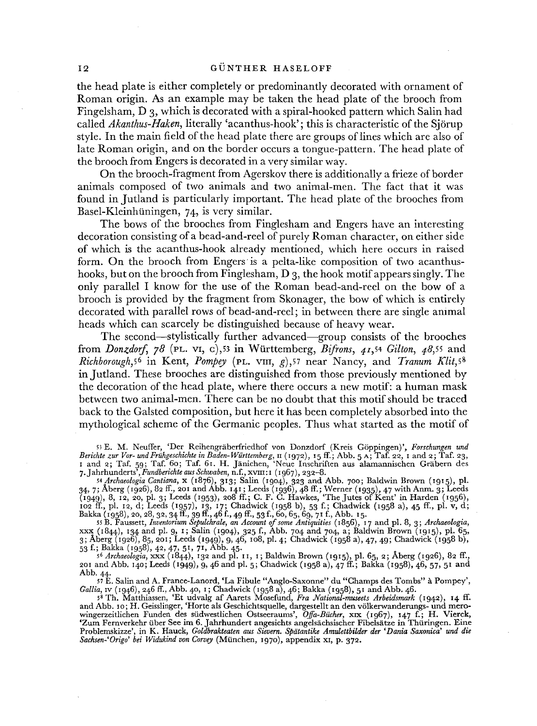the head plate is either completely or predominantly decorated with ornament of Roman origin. As an example may be taken the head plate of the brooch from Fingelsham, D 3, which is decorated with a spiral-hooked pattern which Salin had called *Akanthus-Haken,* literally 'acanthus-hook'; this is characteristic ofthe Sjorup style. In the main field of the head plate there are groups of lines which are also of late Roman origin, and on the border occurs a tongue-pattern. The head plate of the brooch from Engers is decorated in a very similar way.

On the brooch-fragment from Agerskov there is additionally a frieze of border animals composed of two animals and two animal-men. The fact that it was found in Jutland is particularly important. The head plate of the brooches from Basel-Kleinhuningen, 74, is very similar.

The bows of the brooches from Finglesham and Engers have an interesting decoration consisting of a bead-and-reel of purely Roman character, on either side of which is the acanthus-hook already mentioned, which here occurs in raised form. On the brooch from Engers is a pelta-like composition of two acanthushooks, but on the brooch from Finglesham,  $D_3$ , the hook motif appears singly. The only parallel I know for the use of the Roman bead-and-reel on the bow of a brooch is provided by the fragment from Skonager, the bow of which is entirely decorated with parallel rows of bead-and-reel; in between there are single animal heads which can scarcely be distinguished because of heavy wear.

The second-stylistically further advanced-group consists of the brooches from *Donrdorf,* 78 (PL. VI, c),53 in Wurttemberg, *Bifrons, 4I,54 Gilton,* 48,55 and *Richborough.s»* in Kent, *Pompey* (PL. VIII, *g),57* near Nancy, and *Tranum Klit,5 8* in Jutland. These brooches are distinguished from those previously mentioned by the decoration of the head plate, where there occurs a new motif: a human mask between two animal-men. There can be no doubt that this motifshould be traced back to the Galsted composition, but here it has been completely absorbed into the mythological scheme of the Germanic peoples. Thus what started as the motif of

<sup>53</sup> E. M. Neuffer, 'Der Reihengräberfriedhof von Donzdorf (Kreis Göppingen)', Forschungen una Berichte zur Vor- und Frühgeschichte in Baden-Württemberg, II (1972), 15 ff.; Abb. 5 A; Taf. 22, 1 and 2; Taf. 23, 1 and 2; Taf. 59; Taf. 60; Taf. 61. H. Jänichen, 'Neue Inschriften aus alamannischen Gräbern des<br>7. Jahrhunderts', *Fundberichte aus Schwaben*, n.f., xvm:1 (1967), 232–8.<br>54 *Archaeologia Cantiana*, x (1876), 313; Salin (1

34, 7; Åberg (1926), 82 ff., 201 and Abb. 141; Leeds (1936), 48 ff.; Werner (1935), 47 with Anm. 3; Leeds (1949), 8, 12, 20, pl. 3; Leeds (1953), 208 ff.; C. F. C. Hawkes, "The Jutes of Kent' in Harden (1956), 102 ff., pl

3; Åberg (1926), 85, 201; Leeds (1949), 9, 46, 108, pl. 4; Chadwick (1958 a), 47, 49; Chadwick (1958 b), 53 f.; Bakka (1958), 42, 47, 51, 71, Abb. 45.<br>53 f.; Bakka (1958), 42, 47, 51, 71, Abb. 45.<br><sup>56</sup> Archaeologia, xxx (1

201 and Abb, 140; Leeds (1949), 9,46 and pI. 5; Chadwick (1958 a), 47 ff.; Bakka (1958), 46, 57, 51 and

Abb. 44.<br>
<sup>57</sup> E. Salin and A. France-Lanord, 'La Fibule ''Anglo-Saxonne'' du ''Champs des Tombs'' à Pompey',<br> *Gallia*, 1v (1946), 246 ff., Abb. 40, 1; Chadwick (1958 a), 46; Bakka (1958), 51 and Abb. 46.<br>
<sup>58</sup> Th. Matthi wingerzeitlichen Funden des südwestlichen Ostseeraums', Öffa-Bücher, xtx (1967), 147 f.; H. Vierck, 'Zum Fernverkehr über See im 6. Jahrhundert angesichts angelsächsischer Fibelsätze in Thüringen. Eine<br>Problemskizze', in K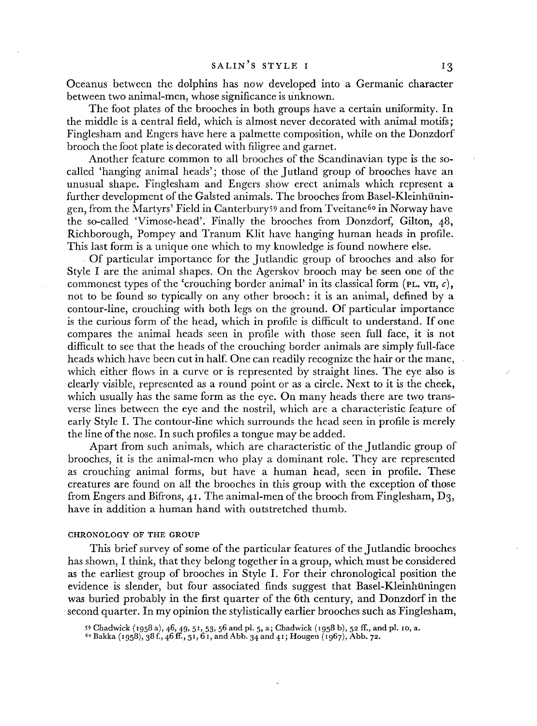Oceanus between the dolphins has now developed into a Germanic character between two animal-men, whose significance is unknown.

The foot plates of the brooches in both groups have a certain uniformity. In the middle is a central field, which is almost never decorated with animal motifs; Finglesham and Engers have here a palmette composition, while on the Donzdorf brooch the foot plate is decorated with filigree and garnet.

Another feature common to all brooches of the Scandinavian type is the socalled 'hanging animal heads'; those of the Jutland group of brooches have an unusual shape. Finglesham and Engers show erect animals which represent a further development of the Galsted animals. The brooches from Basel-Kleinhüningen, from the Martyrs' Field in Canterbury<sup>59</sup> and from Tveitane<sup>60</sup> in Norway have the so-called 'Vimose-head', Finally the brooches from Donzdorf, Gilton, 48, Richborough, Pompey and Tranum Klit have hanging human heads in profile. This last form is a unique one which to my knowledge is found nowhere else.

Of particular importance for the Jutlandic group of brooches and also for Style I are the animal shapes. On the Agerskov brooch may be seen one of the commonest types of the 'crouching border animal' in its classical form  $(PL, VI, c)$ , not to be found so typically on any other brooch: it is an animal, defined by a contour-line, crouching with both legs on the ground. Of particular importance is the curious form of the head, which in profile is difficult to understand. If one compares the animal heads seen in profile with those seen full face, it is not difficult to see that the heads of the crouching border animals are simply full-face heads which have been cut in half. One can readily recognize the hair or the mane, which either flows in a curve or is represented by straight lines. The eye also is clearly visible, represented as a round point or as a circle. Next to it is the cheek, which usually has the same form as the eye. On many heads there are two transverse lines between the eye and the nostril, which are a characteristic feature of early Style I. The contour-line which surrounds the head seen in profile is merely the line of the nose. In such profiles a tongue may be added.

Apart from such animals, which are characteristic of the Jutlandic group of brooches, it is the animal-men who playa dominant role. They are represented as crouching animal forms, but have a human head, seen in profile. These creatures are found on all the brooches in this group with the exception of those from Engers and Bifrons,  $41$ . The animal-men of the brooch from Finglesham, D<sub>3</sub>, have in addition a human hand with outstretched thumb.

#### CHRONOLOGY OF THE GROUP

This brief survey of some of the particular features of the Jutlandic brooches has shown, I think, that they belong together in a group, which must be considered as the earliest group of brooches in Style I. For their chronological position the evidence is slender, but four associated finds suggest that Basel-Kleinhuningen was buried probably in the first quarter of the 6th century, and Donzdorf in the second quarter. In my opinion the stylistically earlier brooches such as Finglesham,

<sup>59</sup> Chadwick (1958 a), 46, 49, 51, 53, 56 and pl. 5, a; Chadwick (1958 b), 52 ff., and pl. 10, a.<br>60 Bakka (1958), 38 f., 46 ff., 51, 61, and Abb. 34 and 41; Hougen (1967), Abb. 72.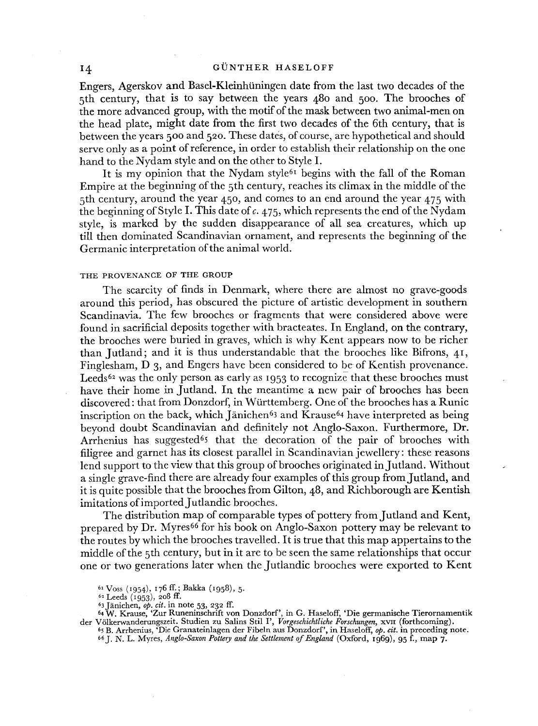Engers, Agerskov and Basel-Kleinhuningen date from the last two decades of the 5th century, that is to say between the years 480 and 500. The brooches of the more advanced group, with the motif of the mask between two animal-men on the head plate, might date from the first two decades of the 6th century, that is between the years 500 and 520. These dates, of course, are hypothetical and should serve only as a point ofreference, in order to establish their relationship on the one hand to the Nydam style and on the other to Style 1.

It is my opinion that the Nydam style<sup>61</sup> begins with the fall of the Roman Empire at the beginning of the 5th century, reaches its climax in the middle of the 5th century, around the year 450, and comes to an end around the year 475 with the beginning ofStyle 1. This date of *c.* 475, which represents the end of the Nydam style, is marked by the sudden disappearance of all sea creatures, which up till then dominated Scandinavian ornament, and represents the beginning of the Germanic interpretation of the animal world.

# THE PROVENANCE OF THE GROUP

The scarcity of finds in Denmark, where there are almost no grave-goods around this period, has obscured the picture of artistic development in southern Scandinavia. The few brooches or fragments that were considered above were found in sacrificial deposits together with bracteates. In England, on the contrary, the brooches were buried in graves, which is why Kent appears now to be richer than Jutland; and it is thus understandable that the brooches like Bifrons, 41, Finglesham, D 3, and Engers have been considered to be of Kentish provenance. Leeds<sup>62</sup> was the only person as early as 1953 to recognize that these brooches must have their home in Jutland. In the meantime a new pair of brooches has been discovered: that from Donzdorf, in Wurttemberg, One of the brooches has a Runic inscription on the back, which Jänichen<sup>63</sup> and Krause<sup>64</sup> have interpreted as being beyond doubt Scandinavian and definitely not Anglo-Saxon. Furthermore, Dr. Arrhenius has suggested<sup>65</sup> that the decoration of the pair of brooches with filigree and garnet has its closest parallel in Scandinavian jewellery: these reasons lend support to the view that this group of brooches originated in Jutland. Without a single grave-find there are already four examples ofthis group from Jutland, and it is quite possible that the brooches from Gilton, 48, and Richborough are Kentish imitations of imported Jutlandic brooches.

The distribution map of comparable types of pottery from Jutland and Kent, prepared by Dr. Myres<sup>66</sup> for his book on Anglo-Saxon pottery may be relevant to the routes by which the brooches travelled. It is true that this map appertains to the middle ofthe 5th century, but in it are to be seen the same relationships that occur one or two generations later when the Jutlandic brooches were exported to Kent

<sup>&</sup>lt;sup>61</sup> Voss (1954), 176 ff.; Bakka (1958), 5.<br><sup>62</sup> Leeds (1953), 208 ff.

<sup>&</sup>lt;sup>63</sup> Jänichen, *op. cit.* in note 53, 232 ff.<br>64 W. Krause, 'Zur Runeninschrift von Donzdorf', in G. Haseloff, 'Die germanische Tierornamentik<br>64 W. Krause, 'Zur Runeninschrift von Donzdorf', in G. Haseloff, 'Die germanis